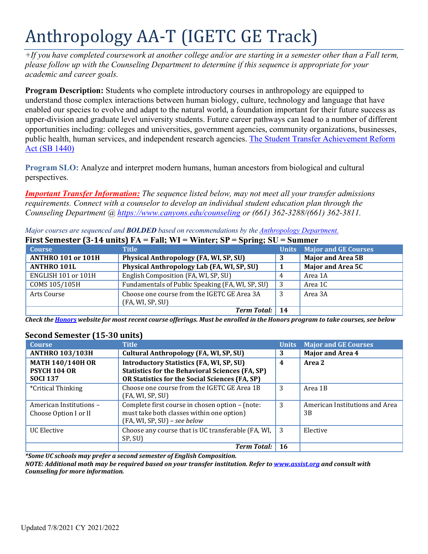# Anthropology AA-T (IGETC GE Track)

 $+$ If you have completed coursework at another college and/or are starting in a semester other than a Fall term, *please follow up with the Counseling Department to determine if this sequence is appropriate for your academic and career goals.*

**Program Description:** Students who complete introductory courses in anthropology are equipped to understand those complex interactions between human biology, culture, technology and language that have enabled our species to evolve and adapt to the natural world, a foundation important for their future success as upper-division and graduate level university students. Future career pathways can lead to a number of different opportunities including: colleges and universities, government agencies, community organizations, businesses, public health, human services, and independent research agencies. [The Student Transfer Achievement Reform](https://www2.calstate.edu/apply/transfer/Pages/ccc-associate-degree-for-transfer.aspx) Act [\(SB 1440\)](https://www2.calstate.edu/apply/transfer/Pages/ccc-associate-degree-for-transfer.aspx)

**Program SLO:** Analyze and interpret modern humans, human ancestors from biological and cultural perspectives.

*Important Transfer Information: The sequence listed below, may not meet all your transfer admissions requirements. Connect with a counselor to develop an individual student education plan through the Counseling Department @ <https://www.canyons.edu/counseling> or (661) 362-3288/(661) 362-3811.*

| First Semester (3-14 units) $FA = Fall$ ; WI = Winter; SP = Spring; SU = Summer |                                                  |     |                                   |
|---------------------------------------------------------------------------------|--------------------------------------------------|-----|-----------------------------------|
| <b>Course</b>                                                                   | <b>Title</b>                                     |     | <b>Units</b> Major and GE Courses |
| <b>ANTHRO 101 or 101H</b>                                                       | Physical Anthropology (FA, WI, SP, SU)           | 3   | <b>Major and Area 5B</b>          |
| <b>ANTHRO 101L</b>                                                              | Physical Anthropology Lab (FA, WI, SP, SU)       |     | <b>Major and Area 5C</b>          |
| ENGLISH 101 or 101H                                                             | English Composition (FA, WI, SP, SU)             | 4   | Area 1A                           |
| COMS 105/105H                                                                   | Fundamentals of Public Speaking (FA, WI, SP, SU) | - 3 | Area 1C                           |
| Arts Course                                                                     | Choose one course from the IGETC GE Area 3A      | -3  | Area 3A                           |
|                                                                                 | (FA, WI, SP, SU)                                 |     |                                   |
|                                                                                 | <b>Term Total:</b>                               | 14  |                                   |

*Major courses are sequenced and BOLDED based on recommendations by the [Anthropology](http://www.canyons.edu/anthropology) Department.*

Check th[e Honors](https://www.canyons.edu/academics/honors/index.php) website for most recent course offerings. Must be enrolled in the Honors program to take courses, see below

| <b>Course</b>                                                     | <b>Title</b>                                                                                                                                                | <b>Units</b> | <b>Major and GE Courses</b>          |
|-------------------------------------------------------------------|-------------------------------------------------------------------------------------------------------------------------------------------------------------|--------------|--------------------------------------|
| <b>ANTHRO 103/103H</b>                                            | Cultural Anthropology (FA, WI, SP, SU)                                                                                                                      | 3            | <b>Major and Area 4</b>              |
| <b>MATH 140/140H OR</b><br><b>PSYCH 104 OR</b><br><b>SOCI 137</b> | <b>Introductory Statistics (FA, WI, SP, SU)</b><br><b>Statistics for the Behavioral Sciences (FA, SP)</b><br>OR Statistics for the Social Sciences (FA, SP) | 4            | Area 2                               |
| <i>*Critical Thinking</i>                                         | Choose one course from the IGETC GE Area 1B<br>(FA, WI, SP, SU)                                                                                             | 3            | Area 1B                              |
| American Institutions -<br>Choose Option I or II                  | Complete first course in chosen option - (note:<br>must take both classes within one option)<br>(FA, WI, SP, SU) - see below                                | 3            | American Institutions and Area<br>3B |
| UC Elective                                                       | Choose any course that is UC transferable (FA, WI,<br>SP, SU)                                                                                               | 3            | Elective                             |
|                                                                   | <b>Term Total:</b>                                                                                                                                          | -16          |                                      |

## **Second Semester (15-30 units)**

*\*Some UC schools may prefer a second semester of English Composition.*

*NOTE: Additional math may be required based on your transfer institution. Refer to [www.assist.org](http://www.assist.org/) and consult with Counseling for more information.*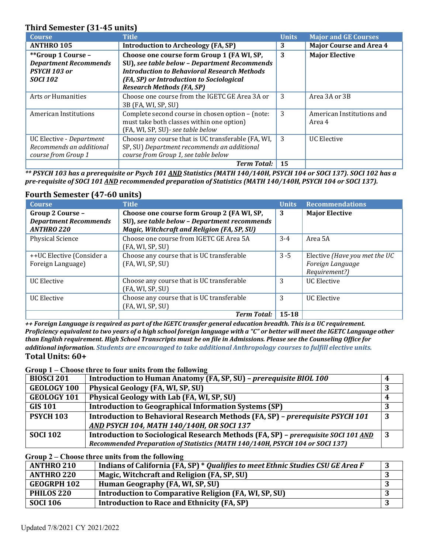## **Third Semester (31-45 units)**

| <b>Course</b>                                                                         | <b>Title</b>                                                                                                                                                                                                                     | <b>Units</b> | <b>Major and GE Courses</b>         |
|---------------------------------------------------------------------------------------|----------------------------------------------------------------------------------------------------------------------------------------------------------------------------------------------------------------------------------|--------------|-------------------------------------|
| <b>ANTHRO 105</b>                                                                     | Introduction to Archeology (FA, SP)                                                                                                                                                                                              | 3            | <b>Major Course and Area 4</b>      |
| **Group 1 Course -<br><b>Department Recommends</b><br>PSYCH 103 or<br><b>SOCI 102</b> | Choose one course form Group 1 (FA WI, SP,<br>SU), see table below - Department Recommends<br><b>Introduction to Behavioral Research Methods</b><br>(FA, SP) or Introduction to Sociological<br><b>Research Methods (FA, SP)</b> | 3            | <b>Major Elective</b>               |
| Arts or Humanities                                                                    | Choose one course from the IGETC GE Area 3A or<br>3B (FA, WI, SP, SU)                                                                                                                                                            | 3            | Area 3A or 3B                       |
| American Institutions                                                                 | Complete second course in chosen option - (note:<br>must take both classes within one option)<br>(FA, WI, SP, SU) - see table below                                                                                              | 3            | American Institutions and<br>Area 4 |
| UC Elective - Department<br>Recommends an additional<br>course from Group 1           | Choose any course that is UC transferable (FA, WI,<br>SP, SU) Department recommends an additional<br>course from Group 1, see table below                                                                                        | 3            | <b>UC Elective</b>                  |
|                                                                                       | <b>Term Total:</b>                                                                                                                                                                                                               | 15           |                                     |

*\*\* PSYCH 103 has a prerequisite or Psych 101 AND Statistics (MATH 140/140H, PSYCH 104 or SOCI 137). SOCI 102 has a pre-requisite of SOCI 101 AND recommended preparation of Statistics (MATH 140/140H, PSYCH 104 or SOCI 137).*

## **Fourth Semester (47-60 units)**

| <b>Course</b>                | <b>Title</b>                                 | <b>Units</b> | <b>Recommendations</b>        |
|------------------------------|----------------------------------------------|--------------|-------------------------------|
| Group 2 Course -             | Choose one course form Group 2 (FA WI, SP,   | 3            | <b>Major Elective</b>         |
| <b>Department Recommends</b> | SU), see table below - Department recommends |              |                               |
| <b>ANTHRO 220</b>            | Magic, Witchcraft and Religion (FA, SP, SU)  |              |                               |
| <b>Physical Science</b>      | Choose one course from IGETC GE Area 5A      | $3-4$        | Area 5A                       |
|                              | (FA, WI, SP, SU)                             |              |                               |
| ++UC Elective (Consider a    | Choose any course that is UC transferable    | $3 - 5$      | Elective (Have you met the UC |
| Foreign Language)            | (FA, WI, SP, SU)                             |              | Foreign Language              |
|                              |                                              |              | Requirement?)                 |
| <b>UC</b> Elective           | Choose any course that is UC transferable    | 3            | <b>UC</b> Elective            |
|                              | (FA, WI, SP, SU)                             |              |                               |
| <b>UC Elective</b>           | Choose any course that is UC transferable    | 3            | <b>UC</b> Elective            |
|                              | (FA, WI, SP, SU)                             |              |                               |
|                              | <b>Term Total:</b>                           | $15 - 18$    |                               |

*++ Foreign Language is required as part of the IGETC transfer general education breadth. This is a UC requirement.* Proficiency equivalent to two years of a high school foreign language with a "C" or better will meet the IGETC Language other *than English requirement. High School Transcripts must be on file in Admissions. Please see the Counseling Office for additional information. Students are encouraged to take additional Anthropology courses to fulfill elective units.* **Total Units: 60+**

#### **Group 1 – Choose three to four units from the following**

| <b>BIOSCI 201</b>  | Introduction to Human Anatomy (FA, SP, SU) - prerequisite BIOL 100                 |    |
|--------------------|------------------------------------------------------------------------------------|----|
| <b>GEOLOGY 100</b> | Physical Geology (FA, WI, SP, SU)                                                  |    |
| <b>GEOLOGY 101</b> | Physical Geology with Lab (FA, WI, SP, SU)                                         |    |
| <b>GIS 101</b>     | <b>Introduction to Geographical Information Systems (SP)</b>                       |    |
| <b>PSYCH 103</b>   | Introduction to Behavioral Research Methods (FA, SP) - prerequisite PSYCH 101      | 3  |
|                    | <b>AND PSYCH 104, MATH 140/140H, OR SOCI 137</b>                                   |    |
| <b>SOCI 102</b>    | Introduction to Sociological Research Methods (FA, SP) - prerequisite SOCI 101 AND | -3 |
|                    | Recommended Preparation of Statistics (MATH 140/140H, PSYCH 104 or SOCI 137)       |    |

#### **Group 2 – Choose three units from the following**

| <b>ANTHRO 210</b>  | Indians of California (FA, SP) * Qualifies to meet Ethnic Studies CSU GE Area F |  |
|--------------------|---------------------------------------------------------------------------------|--|
| <b>ANTHRO 220</b>  | Magic, Witchcraft and Religion (FA, SP, SU)                                     |  |
| <b>GEOGRPH 102</b> | Human Geography (FA, WI, SP, SU)                                                |  |
| PHILOS 220         | Introduction to Comparative Religion (FA, WI, SP, SU)                           |  |
| <b>SOCI 106</b>    | Introduction to Race and Ethnicity (FA, SP)                                     |  |